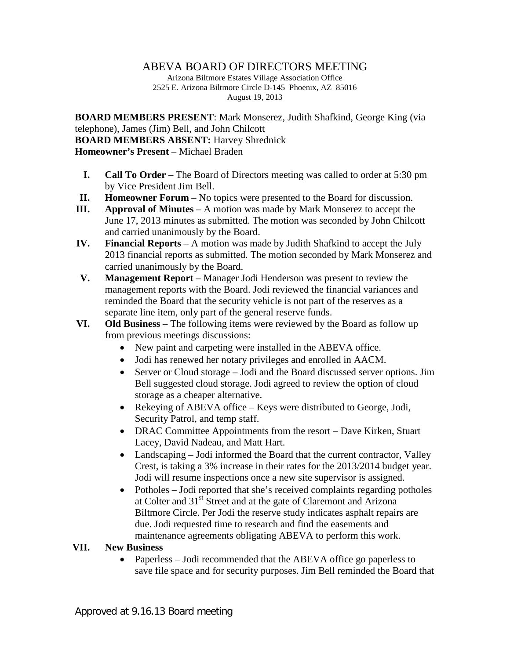## ABEVA BOARD OF DIRECTORS MEETING

Arizona Biltmore Estates Village Association Office 2525 E. Arizona Biltmore Circle D-145 Phoenix, AZ 85016 August 19, 2013

**BOARD MEMBERS PRESENT**: Mark Monserez, Judith Shafkind, George King (via telephone), James (Jim) Bell, and John Chilcott **BOARD MEMBERS ABSENT:** Harvey Shrednick **Homeowner's Present** – Michael Braden

- **I. Call To Order** The Board of Directors meeting was called to order at 5:30 pm by Vice President Jim Bell.
- **II. Homeowner Forum** No topics were presented to the Board for discussion.
- **III. Approval of Minutes** A motion was made by Mark Monserez to accept the June 17, 2013 minutes as submitted. The motion was seconded by John Chilcott and carried unanimously by the Board.
- **IV. Financial Reports** A motion was made by Judith Shafkind to accept the July 2013 financial reports as submitted. The motion seconded by Mark Monserez and carried unanimously by the Board.
- **V. Management Report** Manager Jodi Henderson was present to review the management reports with the Board. Jodi reviewed the financial variances and reminded the Board that the security vehicle is not part of the reserves as a separate line item, only part of the general reserve funds.
- **VI. Old Business** The following items were reviewed by the Board as follow up from previous meetings discussions:
	- New paint and carpeting were installed in the ABEVA office.
	- Jodi has renewed her notary privileges and enrolled in AACM.
	- Server or Cloud storage Jodi and the Board discussed server options. Jim Bell suggested cloud storage. Jodi agreed to review the option of cloud storage as a cheaper alternative.
	- Rekeying of ABEVA office Keys were distributed to George, Jodi, Security Patrol, and temp staff.
	- DRAC Committee Appointments from the resort Dave Kirken, Stuart Lacey, David Nadeau, and Matt Hart.
	- Landscaping Jodi informed the Board that the current contractor, Valley Crest, is taking a 3% increase in their rates for the 2013/2014 budget year. Jodi will resume inspections once a new site supervisor is assigned.
	- Potholes Jodi reported that she's received complaints regarding potholes at Colter and 31st Street and at the gate of Claremont and Arizona Biltmore Circle. Per Jodi the reserve study indicates asphalt repairs are due. Jodi requested time to research and find the easements and maintenance agreements obligating ABEVA to perform this work.

## **VII. New Business**

• Paperless – Jodi recommended that the ABEVA office go paperless to save file space and for security purposes. Jim Bell reminded the Board that